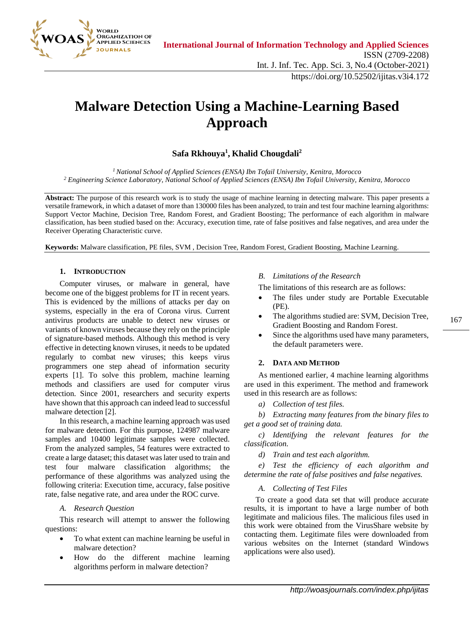

# **Malware Detection Using a Machine-Learning Based Approach**

# **Safa Rkhouya<sup>1</sup> , Khalid Chougdali 2**

*<sup>1</sup>National School of Applied Sciences (ENSA) Ibn Tofail University, Kenitra, Morocco <sup>2</sup> Engineering Science Laboratory, National School of Applied Sciences (ENSA) Ibn Tofail University, Kenitra, Morocco* 

**Abstract:** The purpose of this research work is to study the usage of machine learning in detecting malware. This paper presents a versatile framework, in which a dataset of more than 130000 files has been analyzed, to train and test four machine learning algorithms: Support Vector Machine, Decision Tree, Random Forest, and Gradient Boosting; The performance of each algorithm in malware classification, has been studied based on the: Accuracy, execution time, rate of false positives and false negatives, and area under the Receiver Operating Characteristic curve.

**Keywords:** Malware classification, PE files, SVM , Decision Tree, Random Forest, Gradient Boosting, Machine Learning.

## **1. INTRODUCTION**

Computer viruses, or malware in general, have become one of the biggest problems for IT in recent years. This is evidenced by the millions of attacks per day on systems, especially in the era of Corona virus. Current antivirus products are unable to detect new viruses or variants of known viruses because they rely on the principle of signature-based methods. Although this method is very effective in detecting known viruses, it needs to be updated regularly to combat new viruses; this keeps virus programmers one step ahead of information security experts [1]. To solve this problem, machine learning methods and classifiers are used for computer virus detection. Since 2001, researchers and security experts have shown that this approach can indeed lead to successful malware detection [2].

In this research, a machine learning approach was used for malware detection. For this purpose, 124987 malware samples and 10400 legitimate samples were collected. From the analyzed samples, 54 features were extracted to create a large dataset; this dataset was later used to train and test four malware classification algorithms; the performance of these algorithms was analyzed using the following criteria: Execution time, accuracy, false positive rate, false negative rate, and area under the ROC curve.

## *A. Research Question*

This research will attempt to answer the following questions:

- To what extent can machine learning be useful in malware detection?
- How do the different machine learning algorithms perform in malware detection?

# *B. Limitations of the Research*

The limitations of this research are as follows:

- The files under study are Portable Executable (PE).
- The algorithms studied are: SVM, Decision Tree, Gradient Boosting and Random Forest.
- Since the algorithms used have many parameters, the default parameters were.

# **2. DATA AND METHOD**

As mentioned earlier, 4 machine learning algorithms are used in this experiment. The method and framework used in this research are as follows:

*a) Collection of test files.*

*b) Extracting many features from the binary files to get a good set of training data.*

*c) Identifying the relevant features for the classification.*

*d) Train and test each algorithm.*

*e) Test the efficiency of each algorithm and determine the rate of false positives and false negatives.*

## *A. Collecting of Test Files*

To create a good data set that will produce accurate results, it is important to have a large number of both legitimate and malicious files. The malicious files used in this work were obtained from the VirusShare website by contacting them. Legitimate files were downloaded from various websites on the Internet (standard Windows applications were also used).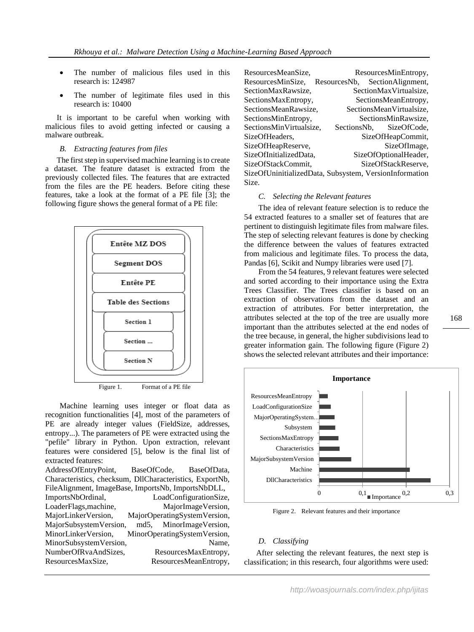- The number of malicious files used in this research is: 124987
- The number of legitimate files used in this research is: 10400

It is important to be careful when working with malicious files to avoid getting infected or causing a malware outbreak.

#### *B. Extracting features from files*

The first step in supervised machine learning is to create a dataset. The feature dataset is extracted from the previously collected files. The features that are extracted from the files are the PE headers. Before citing these features, take a look at the format of a PE file [3]; the following figure shows the general format of a PE file:



Machine learning uses integer or float data as recognition functionalities [4], most of the parameters of PE are already integer values (FieldSize, addresses, entropy...). The parameters of PE were extracted using the "pefile" library in Python. Upon extraction, relevant features were considered [5], below is the final list of extracted features: AddressOfEntryPoint, BaseOfCode, BaseOfData, Characteristics, checksum, DllCharacteristics, ExportNb, FileAlignment, ImageBase, ImportsNb, ImportsNbDLL, ImportsNbOrdinal, LoadConfigurationSize, LoaderFlags,machine, MajorImageVersion, MajorLinkerVersion, MajorOperatingSystemVersion, MajorSubsystemVersion, md5, MinorImageVersion,

MinorLinkerVersion, MinorOperatingSystemVersion, MinorSubsystemVersion, Name, NumberOfRvaAndSizes, ResourcesMaxEntropy, ResourcesMaxSize, ResourcesMeanEntropy,

| ResourcesMeanSize,      | ResourcesMinEntropy,                                   |
|-------------------------|--------------------------------------------------------|
| ResourcesMinSize,       | SectionAlignment,<br>ResourcesNb,                      |
| SectionMaxRawsize,      | SectionMaxVirtualsize,                                 |
| SectionsMaxEntropy,     | SectionsMeanEntropy,                                   |
| SectionsMeanRawsize,    | SectionsMeanVirtualsize,                               |
| SectionsMinEntropy,     | SectionsMinRawsize,                                    |
| SectionsMinVirtualsize, | SectionsNb. SizeOfCode.                                |
| SizeOfHeaders.          | SizeOfHeapCommit,                                      |
| SizeOfHeapReserve,      | SizeOfImage,                                           |
| SizeOfInitializedData,  | SizeOfOptionalHeader,                                  |
| SizeOfStackCommit.      | SizeOfStackReserve,                                    |
|                         | SizeOfUninitializedData, Subsystem, VersionInformation |
| Size.                   |                                                        |

#### *C. Selecting the Relevant features*

The idea of relevant feature selection is to reduce the 54 extracted features to a smaller set of features that are pertinent to distinguish legitimate files from malware files. The step of selecting relevant features is done by checking the difference between the values of features extracted from malicious and legitimate files. To process the data, Pandas [6], Scikit and Numpy libraries were used [7].

From the 54 features, 9 relevant features were selected and sorted according to their importance using the Extra Trees Classifier. The Trees classifier is based on an extraction of observations from the dataset and an extraction of attributes. For better interpretation, the attributes selected at the top of the tree are usually more important than the attributes selected at the end nodes of the tree because, in general, the higher subdivisions lead to greater information gain. The following figure (Figure 2) shows the selected relevant attributes and their importance:



Figure 2. Relevant features and their importance

#### *D. Classifying*

 After selecting the relevant features, the next step is classification; in this research, four algorithms were used: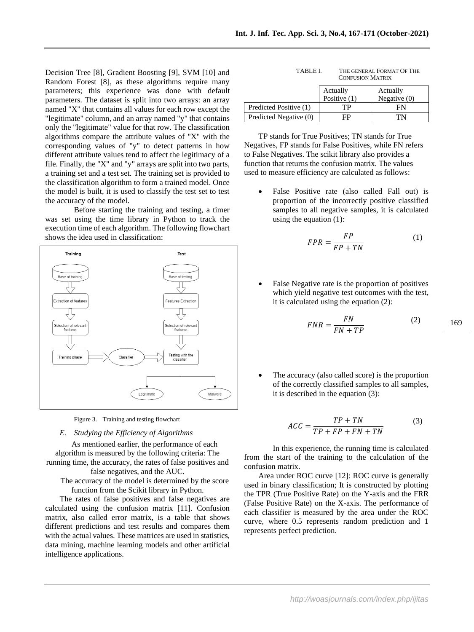Decision Tree [8], Gradient Boosting [9], SVM [10] and Random Forest [8], as these algorithms require many parameters; this experience was done with default parameters. The dataset is split into two arrays: an array named "X" that contains all values for each row except the "legitimate" column, and an array named "y" that contains only the "legitimate" value for that row. The classification algorithms compare the attribute values of "X" with the corresponding values of "y" to detect patterns in how different attribute values tend to affect the legitimacy of a file. Finally, the "X" and "y" arrays are split into two parts, a training set and a test set. The training set is provided to the classification algorithm to form a trained model. Once the model is built, it is used to classify the test set to test the accuracy of the model.

Before starting the training and testing, a timer was set using the time library in Python to track the execution time of each algorithm. The following flowchart shows the idea used in classification:



Figure 3. Training and testing flowchart

#### *E. Studying the Efficiency of Algorithms*

As mentioned earlier, the performance of each algorithm is measured by the following criteria: The running time, the accuracy, the rates of false positives and false negatives, and the AUC.

The accuracy of the model is determined by the score function from the Scikit library in Python.

The rates of false positives and false negatives are calculated using the confusion matrix [11]. Confusion matrix, also called error matrix, is a table that shows different predictions and test results and compares them with the actual values. These matrices are used in statistics, data mining, machine learning models and other artificial intelligence applications.

| TABLE L                 | THE GENERAL FORMAT OF THE |
|-------------------------|---------------------------|
| <b>CONFUSION MATRIX</b> |                           |

|                        | Actually<br>Positive $(1)$ | Actually<br>Negative $(0)$ |
|------------------------|----------------------------|----------------------------|
| Predicted Positive (1) | TР                         | FN                         |
| Predicted Negative (0) | FP                         | 1'N                        |

TP stands for True Positives; TN stands for True Negatives, FP stands for False Positives, while FN refers to False Negatives. The scikit library also provides a function that returns the confusion matrix. The values used to measure efficiency are calculated as follows:

False Positive rate (also called Fall out) is proportion of the incorrectly positive classified samples to all negative samples, it is calculated using the equation  $(1)$ :

$$
FPR = \frac{FP}{FP + TN} \tag{1}
$$

• False Negative rate is the proportion of positives which yield negative test outcomes with the test, it is calculated using the equation (2):

$$
FNR = \frac{FN}{FN + TP}
$$
 (2)

169

The accuracy (also called score) is the proportion of the correctly classified samples to all samples, it is described in the equation (3):

$$
ACC = \frac{TP + TN}{TP + FP + FN + TN}
$$
 (3)

In this experience, the running time is calculated from the start of the training to the calculation of the confusion matrix.

Area under ROC curve [12]: ROC curve is generally used in binary classification; It is constructed by plotting the TPR (True Positive Rate) on the Y-axis and the FRR (False Positive Rate) on the X-axis. The performance of each classifier is measured by the area under the ROC curve, where 0.5 represents random prediction and 1 represents perfect prediction.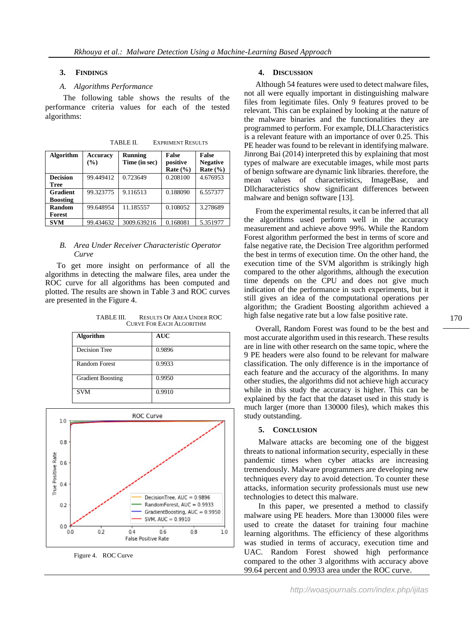#### **3. FINDINGS**

#### *A. Algorithms Performance*

 The following table shows the results of the performance criteria values for each of the tested algorithms:

| Algorithm       | <b>Accuracy</b><br>(%) | <b>Running</b><br>Time (in sec) | False<br>positive<br>Rate $(\% )$ | <b>False</b><br><b>Negative</b><br>Rate $(\% )$ |
|-----------------|------------------------|---------------------------------|-----------------------------------|-------------------------------------------------|
| <b>Decision</b> | 99.449412              | 0.723649                        | 0.208100                          | 4.676953                                        |
| <b>Tree</b>     |                        |                                 |                                   |                                                 |
| <b>Gradient</b> | 99.323775              | 9.116513                        | 0.188090                          | 6.557377                                        |
| <b>Boosting</b> |                        |                                 |                                   |                                                 |
| Random          | 99.648954              | 11.185557                       | 0.108052                          | 3.278689                                        |
| Forest          |                        |                                 |                                   |                                                 |
| <b>SVM</b>      | 99.434632              | 3009.639216                     | 0.168081                          | 5.351977                                        |

TABLE II. EXPRIMENT RESULTS

# *B. Area Under Receiver Characteristic Operator Curve*

To get more insight on performance of all the algorithms in detecting the malware files, area under the ROC curve for all algorithms has been computed and plotted. The results are shown in Table 3 and ROC curves are presented in the Figure 4.

TABLE III. RESULTS OF AREA UNDER ROC CURVE FOR EACH ALGORITHM

| <b>Algorithm</b>         | <b>AUC</b> |
|--------------------------|------------|
| <b>Decision Tree</b>     | 0.9896     |
| <b>Random Forest</b>     | 0.9933     |
| <b>Gradient Boosting</b> | 0.9950     |
| <b>SVM</b>               | 0.9910     |



Figure 4. ROC Curve

#### **4. DISCUSSION**

Although 54 features were used to detect malware files, not all were equally important in distinguishing malware files from legitimate files. Only 9 features proved to be relevant. This can be explained by looking at the nature of the malware binaries and the functionalities they are programmed to perform. For example, DLLCharacteristics is a relevant feature with an importance of over 0.25. This PE header was found to be relevant in identifying malware. Jinrong Bai (2014) interpreted this by explaining that most types of malware are executable images, while most parts of benign software are dynamic link libraries. therefore, the mean values of characteristics, ImageBase, and Dllcharacteristics show significant differences between malware and benign software [13].

From the experimental results, it can be inferred that all the algorithms used perform well in the accuracy measurement and achieve above 99%. While the Random Forest algorithm performed the best in terms of score and false negative rate, the Decision Tree algorithm performed the best in terms of execution time. On the other hand, the execution time of the SVM algorithm is strikingly high compared to the other algorithms, although the execution time depends on the CPU and does not give much indication of the performance in such experiments, but it still gives an idea of the computational operations per algorithm; the Gradient Boosting algorithm achieved a high false negative rate but a low false positive rate.

Overall, Random Forest was found to be the best and most accurate algorithm used in this research. These results are in line with other research on the same topic, where the 9 PE headers were also found to be relevant for malware classification. The only difference is in the importance of each feature and the accuracy of the algorithms. In many other studies, the algorithms did not achieve high accuracy while in this study the accuracy is higher. This can be explained by the fact that the dataset used in this study is much larger (more than 130000 files), which makes this study outstanding.

# **5. CONCLUSION**

Malware attacks are becoming one of the biggest threats to national information security, especially in these pandemic times when cyber attacks are increasing tremendously. Malware programmers are developing new techniques every day to avoid detection. To counter these attacks, information security professionals must use new technologies to detect this malware.

In this paper, we presented a method to classify malware using PE headers. More than 130000 files were used to create the dataset for training four machine learning algorithms. The efficiency of these algorithms was studied in terms of accuracy, execution time and UAC. Random Forest showed high performance compared to the other 3 algorithms with accuracy above 99.64 percent and 0.9933 area under the ROC curve.